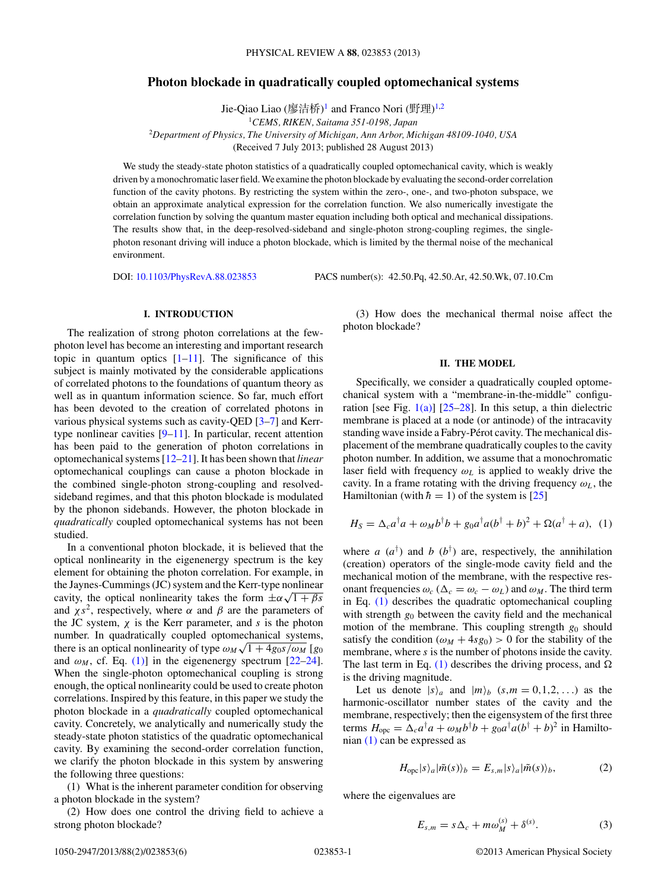# <span id="page-0-0"></span>**Photon blockade in quadratically coupled optomechanical systems**

Jie-Qiao Liao (廖洁桥)<sup>1</sup> and Franco Nori (野理)<sup>1,2</sup> <sup>1</sup>*CEMS, RIKEN, Saitama 351-0198, Japan* <sup>2</sup>*Department of Physics, The University of Michigan, Ann Arbor, Michigan 48109-1040, USA* (Received 7 July 2013; published 28 August 2013)

We study the steady-state photon statistics of a quadratically coupled optomechanical cavity, which is weakly driven by a monochromatic laser field.We examine the photon blockade by evaluating the second-order correlation function of the cavity photons. By restricting the system within the zero-, one-, and two-photon subspace, we obtain an approximate analytical expression for the correlation function. We also numerically investigate the correlation function by solving the quantum master equation including both optical and mechanical dissipations. The results show that, in the deep-resolved-sideband and single-photon strong-coupling regimes, the singlephoton resonant driving will induce a photon blockade, which is limited by the thermal noise of the mechanical environment.

DOI: [10.1103/PhysRevA.88.023853](http://dx.doi.org/10.1103/PhysRevA.88.023853) PACS number(s): 42*.*50*.*Pq, 42*.*50*.*Ar, 42*.*50*.*Wk, 07*.*10*.*Cm

#### **I. INTRODUCTION**

The realization of strong photon correlations at the fewphoton level has become an interesting and important research topic in quantum optics  $[1-11]$ . The significance of this subject is mainly motivated by the considerable applications of correlated photons to the foundations of quantum theory as well as in quantum information science. So far, much effort has been devoted to the creation of correlated photons in various physical systems such as cavity-QED [\[3–7\]](#page-4-0) and Kerrtype nonlinear cavities [\[9–11\]](#page-4-0). In particular, recent attention has been paid to the generation of photon correlations in optomechanical systems [\[12–](#page-4-0)[21\]](#page-5-0). It has been shown that *linear* optomechanical couplings can cause a photon blockade in the combined single-photon strong-coupling and resolvedsideband regimes, and that this photon blockade is modulated by the phonon sidebands. However, the photon blockade in *quadratically* coupled optomechanical systems has not been studied.

In a conventional photon blockade, it is believed that the optical nonlinearity in the eigenenergy spectrum is the key element for obtaining the photon correlation. For example, in the Jaynes-Cummings (JC) system and the Kerr-type nonlinear cavity, the optical nonlinearity takes the form  $\pm \alpha \sqrt{1 + \beta s}$ and  $\chi s^2$ , respectively, where  $\alpha$  and  $\beta$  are the parameters of the JC system,  $\chi$  is the Kerr parameter, and  $\chi$  is the photon number. In quadratically coupled optomechanical systems, there is an optical nonlinearity of type  $\omega_M \sqrt{1 + 4g_0 s / \omega_M}$  [*g*<sup>0</sup> and  $\omega_M$ , cf. Eq. (1)] in the eigenenergy spectrum [\[22–24\]](#page-5-0). When the single-photon optomechanical coupling is strong enough, the optical nonlinearity could be used to create photon correlations. Inspired by this feature, in this paper we study the photon blockade in a *quadratically* coupled optomechanical cavity. Concretely, we analytically and numerically study the steady-state photon statistics of the quadratic optomechanical cavity. By examining the second-order correlation function, we clarify the photon blockade in this system by answering the following three questions:

(1) What is the inherent parameter condition for observing a photon blockade in the system?

(2) How does one control the driving field to achieve a strong photon blockade?

(3) How does the mechanical thermal noise affect the photon blockade?

#### **II. THE MODEL**

Specifically, we consider a quadratically coupled optomechanical system with a "membrane-in-the-middle" configuration [see Fig.  $1(a)$ ] [\[25–28\]](#page-5-0). In this setup, a thin dielectric membrane is placed at a node (or antinode) of the intracavity standing wave inside a Fabry-Pérot cavity. The mechanical displacement of the membrane quadratically couples to the cavity photon number. In addition, we assume that a monochromatic laser field with frequency  $\omega_L$  is applied to weakly drive the cavity. In a frame rotating with the driving frequency  $\omega_L$ , the Hamiltonian (with  $\hbar = 1$ ) of the system is [\[25\]](#page-5-0)

$$
H_S = \Delta_c a^{\dagger} a + \omega_M b^{\dagger} b + g_0 a^{\dagger} a (b^{\dagger} + b)^2 + \Omega (a^{\dagger} + a), \tag{1}
$$

where *a*  $(a^{\dagger})$  and *b*  $(b^{\dagger})$  are, respectively, the annihilation (creation) operators of the single-mode cavity field and the mechanical motion of the membrane, with the respective resonant frequencies  $\omega_c$  ( $\Delta_c = \omega_c - \omega_L$ ) and  $\omega_M$ . The third term in Eq. (1) describes the quadratic optomechanical coupling with strength  $g_0$  between the cavity field and the mechanical motion of the membrane. This coupling strength  $g_0$  should satisfy the condition  $(\omega_M + 4sg_0) > 0$  for the stability of the membrane, where *s* is the number of photons inside the cavity. The last term in Eq. (1) describes the driving process, and  $\Omega$ is the driving magnitude.

Let us denote  $|s\rangle_a$  and  $|m\rangle_b$  (*s, m* = 0,1,2,...) as the harmonic-oscillator number states of the cavity and the membrane, respectively; then the eigensystem of the first three terms  $H_{\text{ope}} = \Delta_c a^{\dagger} a + \omega_M b^{\dagger} b + g_0 a^{\dagger} a (b^{\dagger} + b)^2$  in Hamiltonian (1) can be expressed as

$$
H_{\rm opc}|s\rangle_a|\tilde{m}(s)\rangle_b = E_{s,m}|s\rangle_a|\tilde{m}(s)\rangle_b,\tag{2}
$$

where the eigenvalues are

$$
E_{s,m} = s\Delta_c + m\omega_M^{(s)} + \delta^{(s)}.
$$
 (3)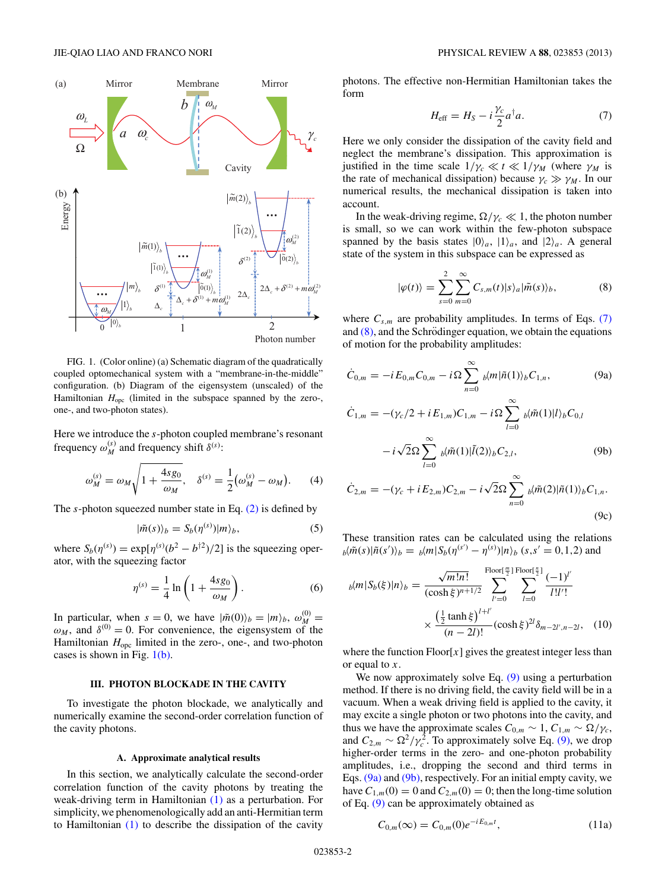<span id="page-1-0"></span>

FIG. 1. (Color online) (a) Schematic diagram of the quadratically coupled optomechanical system with a "membrane-in-the-middle" configuration. (b) Diagram of the eigensystem (unscaled) of the Hamiltonian  $H_{\text{opt}}$  (limited in the subspace spanned by the zero-, one-, and two-photon states).

Here we introduce the *s*-photon coupled membrane's resonant frequency  $\omega_M^{(s)}$  and frequency shift  $\delta^{(s)}$ :

$$
\omega_M^{(s)} = \omega_M \sqrt{1 + \frac{4sg_0}{\omega_M}}, \quad \delta^{(s)} = \frac{1}{2} (\omega_M^{(s)} - \omega_M). \tag{4}
$$

The *s*-photon squeezed number state in Eq. [\(2\)](#page-0-0) is defined by

$$
|\tilde{m}(s)\rangle_b = S_b(\eta^{(s)})|m\rangle_b, \tag{5}
$$

where  $S_b(\eta^{(s)}) = \exp[\eta^{(s)}(b^2 - b^{\dagger 2})/2]$  is the squeezing operator, with the squeezing factor

$$
\eta^{(s)} = \frac{1}{4} \ln \left( 1 + \frac{4sg_0}{\omega_M} \right). \tag{6}
$$

In particular, when  $s = 0$ , we have  $|\tilde{m}(0)\rangle_b = |m\rangle_b$ ,  $\omega_M^{(0)} =$  $\omega_M$ , and  $\delta^{(0)} = 0$ . For convenience, the eigensystem of the Hamiltonian  $H_{\text{opc}}$  limited in the zero-, one-, and two-photon cases is shown in Fig.  $1(b)$ .

### **III. PHOTON BLOCKADE IN THE CAVITY**

To investigate the photon blockade, we analytically and numerically examine the second-order correlation function of the cavity photons.

#### **A. Approximate analytical results**

In this section, we analytically calculate the second-order correlation function of the cavity photons by treating the weak-driving term in Hamiltonian [\(1\)](#page-0-0) as a perturbation. For simplicity, we phenomenologically add an anti-Hermitian term to Hamiltonian [\(1\)](#page-0-0) to describe the dissipation of the cavity

photons. The effective non-Hermitian Hamiltonian takes the form

$$
H_{\text{eff}} = H_S - i\frac{\gamma_c}{2}a^{\dagger}a. \tag{7}
$$

Here we only consider the dissipation of the cavity field and neglect the membrane's dissipation. This approximation is justified in the time scale  $1/\gamma_c \ll t \ll 1/\gamma_M$  (where  $\gamma_M$  is the rate of mechanical dissipation) because  $\gamma_c \gg \gamma_M$ . In our numerical results, the mechanical dissipation is taken into account.

In the weak-driving regime,  $\Omega/\gamma_c \ll 1$ , the photon number is small, so we can work within the few-photon subspace spanned by the basis states  $|0\rangle_a$ ,  $|1\rangle_a$ , and  $|2\rangle_a$ . A general state of the system in this subspace can be expressed as

$$
|\varphi(t)\rangle = \sum_{s=0}^{2} \sum_{m=0}^{\infty} C_{s,m}(t) |s\rangle_a |\tilde{m}(s)\rangle_b, \tag{8}
$$

where  $C_{s,m}$  are probability amplitudes. In terms of Eqs. (7) and  $(8)$ , and the Schrödinger equation, we obtain the equations of motion for the probability amplitudes:

$$
\dot{C}_{0,m} = -i E_{0,m} C_{0,m} - i \Omega \sum_{n=0}^{\infty} b_m |\tilde{n}(1)\rangle_b C_{1,n}, \qquad (9a)
$$

$$
\dot{C}_{1,m} = -(\gamma_c/2 + iE_{1,m})C_{1,m} - i\Omega \sum_{l=0}^{\infty} b_l \tilde{m}(1) |l\rangle_b C_{0,l} \n- i\sqrt{2}\Omega \sum_{l=0}^{\infty} b_l \tilde{m}(1) |\tilde{l}(2)\rangle_b C_{2,l},
$$
\n(9b)

$$
\dot{C}_{2,m} = -(\gamma_c + i E_{2,m}) C_{2,m} - i \sqrt{2} \Omega \sum_{n=0}^{\infty} b_n(\tilde{m}(2)) |\tilde{n}(1)\rangle_b C_{1,n}.
$$
\n(9c)

These transition rates can be calculated using the relations  $b\langle \tilde{m}(s)|\tilde{n}(s')\rangle_b = b\langle m|S_b(\eta^{(s')} - \eta^{(s)})|n\rangle_b$  (*s*, *s*' = 0,1,2) and

$$
b(m|S_b(\xi)|n)_b = \frac{\sqrt{m!n!}}{(\cosh \xi)^{n+1/2}} \sum_{l'=0}^{\text{Floor}(\frac{m}{2})} \sum_{l=0}^{\text{Floor}(\frac{n}{2})} \frac{(-1)^{l'}}{l!l'!}
$$

$$
\times \frac{\left(\frac{1}{2} \tanh \xi\right)^{l+l'}}{(n-2l)!} (\cosh \xi)^{2l} \delta_{m-2l',n-2l}, \quad (10)
$$

where the function  $\text{Floor}[x]$  gives the greatest integer less than or equal to *x*.

We now approximately solve Eq. (9) using a perturbation method. If there is no driving field, the cavity field will be in a vacuum. When a weak driving field is applied to the cavity, it may excite a single photon or two photons into the cavity, and thus we have the approximate scales  $C_{0,m} \sim 1$ ,  $C_{1,m} \sim \Omega/\gamma_c$ , and  $C_{2,m} \sim \Omega^2/\gamma_c^2$ . To approximately solve Eq. (9), we drop higher-order terms in the zero- and one-photon probability amplitudes, i.e., dropping the second and third terms in Eqs. (9a) and (9b), respectively. For an initial empty cavity, we have  $C_{1,m}(0) = 0$  and  $C_{2,m}(0) = 0$ ; then the long-time solution of Eq. (9) can be approximately obtained as

$$
C_{0,m}(\infty) = C_{0,m}(0)e^{-iE_{0,m}t}, \qquad (11a)
$$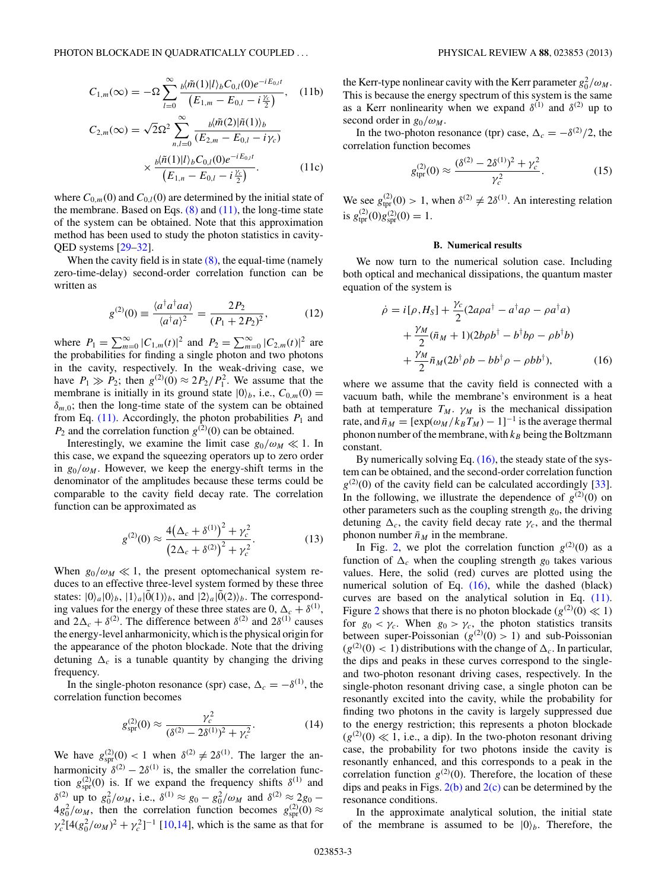<span id="page-2-0"></span>
$$
C_{1,m}(\infty) = -\Omega \sum_{l=0}^{\infty} \frac{b\langle \tilde{m}(1)|l\rangle_b C_{0,l}(0) e^{-iE_{0,l}t}}{\left(E_{1,m} - E_{0,l} - i\frac{\gamma_c}{2}\right)}, \quad (11b)
$$

$$
C_{2,m}(\infty) = \sqrt{2}\Omega^2 \sum_{n,l=0}^{\infty} \frac{b\langle \tilde{m}(2)|\tilde{n}(1)\rangle_b}{(E_{2,m} - E_{0,l} - i\gamma_c)}
$$

$$
\times \frac{b\langle \tilde{n}(1)|l\rangle_b C_{0,l}(0)e^{-iE_{0,l}t}}{(E_{1,n} - E_{0,l} - i\frac{\gamma_c}{2})}.
$$
(11c)

where  $C_{0,m}(0)$  and  $C_{0,l}(0)$  are determined by the initial state of the membrane. Based on Eqs.  $(8)$  and  $(11)$ , the long-time state of the system can be obtained. Note that this approximation method has been used to study the photon statistics in cavity-QED systems [\[29–32\]](#page-5-0).

When the cavity field is in state  $(8)$ , the equal-time (namely zero-time-delay) second-order correlation function can be written as

$$
g^{(2)}(0) \equiv \frac{\langle a^{\dagger} a^{\dagger} a a \rangle}{\langle a^{\dagger} a \rangle^2} = \frac{2P_2}{(P_1 + 2P_2)^2},
$$
(12)

where  $P_1 = \sum_{m=0}^{\infty} |C_{1,m}(t)|^2$  and  $P_2 = \sum_{m=0}^{\infty} |C_{2,m}(t)|^2$  are the probabilities for finding a single photon and two photons in the cavity, respectively. In the weak-driving case, we have  $P_1 \gg P_2$ ; then  $g^{(2)}(0) \approx 2P_2/P_1^2$ . We assume that the membrane is initially in its ground state  $|0\rangle_b$ , i.e.,  $C_{0,m}(0)$  =  $\delta_{m,0}$ ; then the long-time state of the system can be obtained from Eq.  $(11)$ . Accordingly, the photon probabilities  $P_1$  and  $P_2$  and the correlation function  $g^{(2)}(0)$  can be obtained.

Interestingly, we examine the limit case  $g_0/\omega_M \ll 1$ . In this case, we expand the squeezing operators up to zero order in  $g_0/\omega_M$ . However, we keep the energy-shift terms in the denominator of the amplitudes because these terms could be comparable to the cavity field decay rate. The correlation function can be approximated as

$$
g^{(2)}(0) \approx \frac{4(\Delta_c + \delta^{(1)})^2 + \gamma_c^2}{(2\Delta_c + \delta^{(2)})^2 + \gamma_c^2}.
$$
 (13)

When  $g_0/\omega_M \ll 1$ , the present optomechanical system reduces to an effective three-level system formed by these three states:  $|0\rangle_a|0\rangle_b$ ,  $|1\rangle_a|0\rangle_b$ , and  $|2\rangle_a|0\rangle_a|0\rangle_b$ . The corresponding values for the energy of these three states are 0,  $\Delta_c + \delta^{(1)}$ , and  $2\Delta_c + \delta^{(2)}$ . The difference between  $\delta^{(2)}$  and  $2\delta^{(1)}$  causes the energy-level anharmonicity, which is the physical origin for the appearance of the photon blockade. Note that the driving detuning  $\Delta_c$  is a tunable quantity by changing the driving frequency.

In the single-photon resonance (spr) case,  $\Delta_c = -\delta^{(1)}$ , the correlation function becomes

$$
g_{\rm spr}^{(2)}(0) \approx \frac{\gamma_c^2}{(\delta^{(2)} - 2\delta^{(1)})^2 + \gamma_c^2}.
$$
 (14)

We have  $g_{spr}^{(2)}(0) < 1$  when  $\delta^{(2)} \neq 2\delta^{(1)}$ . The larger the anharmonicity  $\delta^{(2)} - 2\delta^{(1)}$  is, the smaller the correlation function  $g_{spr}^{(2)}(0)$  is. If we expand the frequency shifts  $\delta^{(1)}$  and *δ*<sup>(2)</sup> up to *g*<sub>0</sub><sup>2</sup>/ω<sub>*M*</sub>, i.e., *δ*<sup>(1)</sup> ≈ *g*<sub>0</sub> − *g*<sub>0</sub><sup>2</sup>/ω<sub>*M*</sub> and *δ*<sup>(2)</sup> ≈ 2*g*<sub>0</sub> −  $4g_0^2/\omega_M$ , then the correlation function becomes  $g_{spr}^{(2)}(0) \approx$  $\gamma_c^2 [4(g_0^2/\omega_M)^2 + \gamma_c^2]^{-1}$  [\[10,14\]](#page-4-0), which is the same as that for

the Kerr-type nonlinear cavity with the Kerr parameter  $g_0^2/\omega_M$ . This is because the energy spectrum of this system is the same as a Kerr nonlinearity when we expand  $\delta^{(1)}$  and  $\delta^{(2)}$  up to second order in  $g_0/\omega_M$ .

In the two-photon resonance (tpr) case,  $\Delta_c = -\delta^{(2)}/2$ , the correlation function becomes

$$
g_{\text{tpr}}^{(2)}(0) \approx \frac{(\delta^{(2)} - 2\delta^{(1)})^2 + \gamma_c^2}{\gamma_c^2}.
$$
 (15)

We see  $g_{\text{tpr}}^{(2)}(0) > 1$ , when  $\delta^{(2)} \neq 2\delta^{(1)}$ . An interesting relation is  $g_{\text{tpr}}^{(2)}(0)g_{\text{spr}}^{(2)}(0) = 1.$ 

#### **B. Numerical results**

We now turn to the numerical solution case. Including both optical and mechanical dissipations, the quantum master equation of the system is

$$
\dot{\rho} = i[\rho, H_S] + \frac{\gamma_c}{2} (2a\rho a^\dagger - a^\dagger a\rho - \rho a^\dagger a) \n+ \frac{\gamma_M}{2} (\bar{n}_M + 1)(2b\rho b^\dagger - b^\dagger b\rho - \rho b^\dagger b) \n+ \frac{\gamma_M}{2} \bar{n}_M (2b^\dagger \rho b - b b^\dagger \rho - \rho b b^\dagger),
$$
\n(16)

where we assume that the cavity field is connected with a vacuum bath, while the membrane's environment is a heat bath at temperature  $T_M$ .  $\gamma_M$  is the mechanical dissipation rate, and  $\bar{n}_M = [\exp(\omega_M/k_B T_M) - 1]^{-1}$  is the average thermal phonon number of the membrane, with  $k_B$  being the Boltzmann constant.

By numerically solving Eq.  $(16)$ , the steady state of the system can be obtained, and the second-order correlation function  $g^{(2)}(0)$  of the cavity field can be calculated accordingly [\[33\]](#page-5-0). In the following, we illustrate the dependence of  $g^{(2)}(0)$  on other parameters such as the coupling strength *g*0, the driving detuning  $\Delta_c$ , the cavity field decay rate  $\gamma_c$ , and the thermal phonon number  $\bar{n}_M$  in the membrane.

In Fig. [2,](#page-3-0) we plot the correlation function  $g^{(2)}(0)$  as a function of  $\Delta_c$  when the coupling strength  $g_0$  takes various values. Here, the solid (red) curves are plotted using the numerical solution of Eq.  $(16)$ , while the dashed (black) curves are based on the analytical solution in Eq. [\(11\).](#page-1-0) Figure [2](#page-3-0) shows that there is no photon blockade ( $g^{(2)}(0) \ll 1$ ) for  $g_0 < \gamma_c$ . When  $g_0 > \gamma_c$ , the photon statistics transits between super-Poissonian  $(g^{(2)}(0) > 1)$  and sub-Poissonian  $(g^{(2)}(0) < 1)$  distributions with the change of  $\Delta_c$ . In particular, the dips and peaks in these curves correspond to the singleand two-photon resonant driving cases, respectively. In the single-photon resonant driving case, a single photon can be resonantly excited into the cavity, while the probability for finding two photons in the cavity is largely suppressed due to the energy restriction; this represents a photon blockade  $(g^{(2)}(0) \ll 1$ , i.e., a dip). In the two-photon resonant driving case, the probability for two photons inside the cavity is resonantly enhanced, and this corresponds to a peak in the correlation function  $g^{(2)}(0)$ . Therefore, the location of these dips and peaks in Figs.  $2(b)$  and  $2(c)$  can be determined by the resonance conditions.

In the approximate analytical solution, the initial state of the membrane is assumed to be  $|0\rangle_b$ . Therefore, the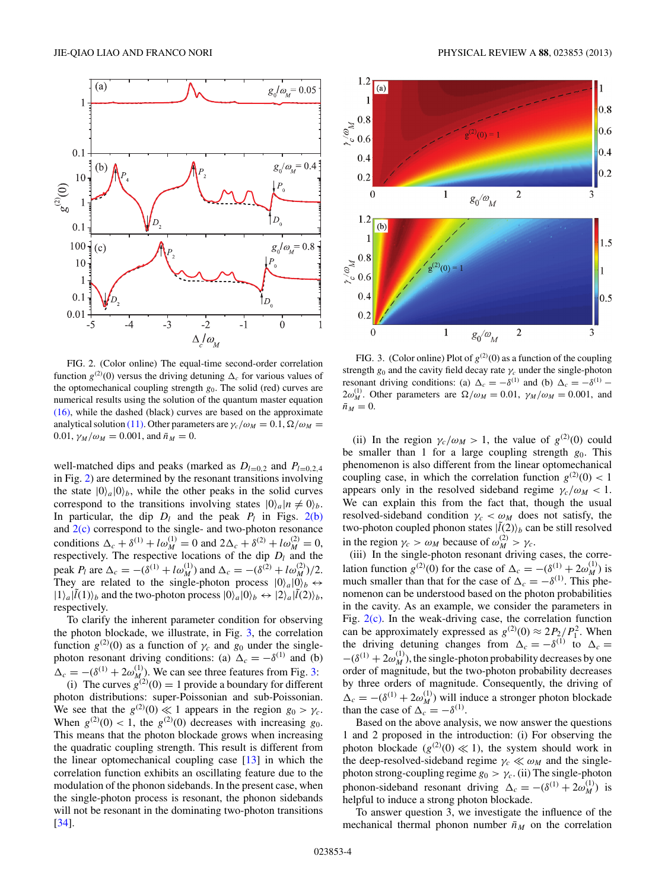<span id="page-3-0"></span>

FIG. 2. (Color online) The equal-time second-order correlation function  $g^{(2)}(0)$  versus the driving detuning  $\Delta_c$  for various values of the optomechanical coupling strength  $g_0$ . The solid (red) curves are numerical results using the solution of the quantum master equation [\(16\),](#page-2-0) while the dashed (black) curves are based on the approximate analytical solution [\(11\).](#page-1-0) Other parameters are  $\gamma_c/\omega_M = 0.1$ ,  $\Omega/\omega_M =$ 0.01,  $\gamma_M/\omega_M = 0.001$ , and  $\bar{n}_M = 0$ .

well-matched dips and peaks (marked as  $D_{l=0,2}$  and  $P_{l=0,2,4}$ in Fig. 2) are determined by the resonant transitions involving the state  $|0\rangle_a|0\rangle_b$ , while the other peaks in the solid curves correspond to the transitions involving states  $|0\rangle_a|n \neq 0\rangle_b$ . In particular, the dip  $D_l$  and the peak  $P_l$  in Figs. 2(b) and  $2(c)$  correspond to the single- and two-photon resonance conditions  $\Delta_c + \delta^{(1)} + l\omega_M^{(1)} = 0$  and  $2\Delta_c + \delta^{(2)} + l\omega_M^{(2)} = 0$ , respectively. The respective locations of the dip  $D_l$  and the peak *P<sub>l</sub>* are  $\Delta_c = -(\delta^{(1)} + l\omega^{(1)}_M)$  and  $\Delta_c = -(\delta^{(2)} + l\omega^{(2)}_M)/2$ . They are related to the single-photon process  $|0\rangle_a|0\rangle_b \leftrightarrow$  $|1\rangle_a |\tilde{l}(1)\rangle_b$  and the two-photon process  $|0\rangle_a |0\rangle_b \leftrightarrow |2\rangle_a |\tilde{l}(2)\rangle_b$ , respectively.

To clarify the inherent parameter condition for observing the photon blockade, we illustrate, in Fig. 3, the correlation function  $g^{(2)}(0)$  as a function of  $\gamma_c$  and  $g_0$  under the singlephoton resonant driving conditions: (a)  $\Delta_c = -\delta^{(1)}$  and (b)  $\Delta_c = -(\delta^{(1)} + 2\omega_{M_c}^{(1)})$ . We can see three features from Fig. 3: (i) The curves  $g^{(2)}(0) = 1$  provide a boundary for different photon distributions: super-Poissonian and sub-Poissonian. We see that the  $g^{(2)}(0) \ll 1$  appears in the region  $g_0 > \gamma_c$ . When  $g^{(2)}(0) < 1$ , the  $g^{(2)}(0)$  decreases with increasing  $g_0$ . This means that the photon blockade grows when increasing the quadratic coupling strength. This result is different from the linear optomechanical coupling case [\[13\]](#page-4-0) in which the correlation function exhibits an oscillating feature due to the modulation of the phonon sidebands. In the present case, when the single-photon process is resonant, the phonon sidebands will not be resonant in the dominating two-photon transitions [\[34\]](#page-5-0).



FIG. 3. (Color online) Plot of  $g^{(2)}(0)$  as a function of the coupling strength  $g_0$  and the cavity field decay rate  $\gamma_c$  under the single-photon resonant driving conditions: (a)  $\Delta_c = -\delta^{(1)}$  and (b)  $\Delta_c = -\delta^{(1)}$  –  $2\omega_M^{(1)}$ . Other parameters are  $\Omega/\omega_M = 0.01$ ,  $\gamma_M/\omega_M = 0.001$ , and  $\bar{n}_M = 0$ .

(ii) In the region  $\gamma_c/\omega_M > 1$ , the value of  $g^{(2)}(0)$  could be smaller than 1 for a large coupling strength  $g_0$ . This phenomenon is also different from the linear optomechanical coupling case, in which the correlation function  $g^{(2)}(0) < 1$ appears only in the resolved sideband regime  $\gamma_c/\omega_M < 1$ . We can explain this from the fact that, though the usual resolved-sideband condition  $\gamma_c < \omega_M$  does not satisfy, the two-photon coupled phonon states  $|\tilde{l}(2)\rangle_b$  can be still resolved in the region  $\gamma_c > \omega_M$  because of  $\omega_M^{(2)} > \gamma_c$ .

(iii) In the single-photon resonant driving cases, the correlation function  $g^{(2)}(0)$  for the case of  $\Delta_c = -(\delta^{(1)} + 2\omega^{(1)}_M)$  is much smaller than that for the case of  $\Delta_c = -\delta^{(1)}$ . This phenomenon can be understood based on the photon probabilities in the cavity. As an example, we consider the parameters in Fig. 2(c). In the weak-driving case, the correlation function can be approximately expressed as  $g^{(2)}(0) \approx 2P_2/P_1^2$ . When the driving detuning changes from  $\Delta_c = -\delta^{(1)}$  to  $\Delta_c =$  $-(\delta^{(1)} + 2\omega_M^{(1)})$ , the single-photon probability decreases by one order of magnitude, but the two-photon probability decreases by three orders of magnitude. Consequently, the driving of  $\Delta_c = -(\delta^{(1)} + 2\omega_M^{(1)})$  will induce a stronger photon blockade than the case of  $\Delta_c = -\delta^{(1)}$ .

Based on the above analysis, we now answer the questions 1 and 2 proposed in the introduction: (i) For observing the photon blockade ( $g^{(2)}(0) \ll 1$ ), the system should work in the deep-resolved-sideband regime  $\gamma_c \ll \omega_M$  and the singlephoton strong-coupling regime  $g_0 > \gamma_c$ . (ii) The single-photon phonon-sideband resonant driving  $\Delta_c = -(\delta^{(1)} + 2\omega_M^{(1)})$  is helpful to induce a strong photon blockade.

To answer question 3, we investigate the influence of the mechanical thermal phonon number  $\bar{n}_M$  on the correlation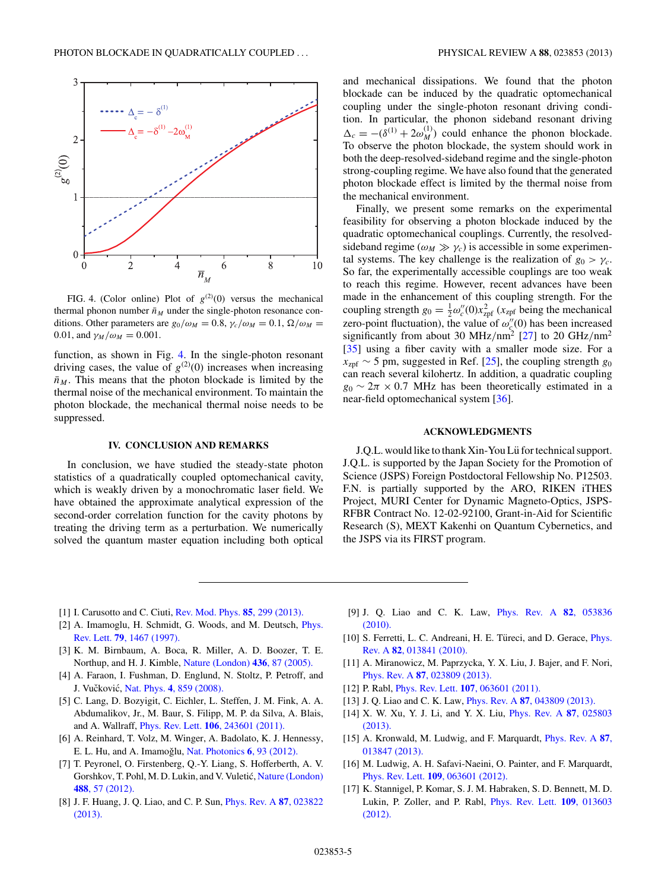<span id="page-4-0"></span>

FIG. 4. (Color online) Plot of  $g^{(2)}(0)$  versus the mechanical thermal phonon number  $\bar{n}_M$  under the single-photon resonance conditions. Other parameters are  $g_0/\omega_M = 0.8$ ,  $\gamma_c/\omega_M = 0.1$ ,  $\Omega/\omega_M =$ 0.01, and  $\gamma_M/\omega_M = 0.001$ .

function, as shown in Fig. 4. In the single-photon resonant driving cases, the value of  $g^{(2)}(0)$  increases when increasing  $\bar{n}_M$ . This means that the photon blockade is limited by the thermal noise of the mechanical environment. To maintain the photon blockade, the mechanical thermal noise needs to be suppressed.

## **IV. CONCLUSION AND REMARKS**

In conclusion, we have studied the steady-state photon statistics of a quadratically coupled optomechanical cavity, which is weakly driven by a monochromatic laser field. We have obtained the approximate analytical expression of the second-order correlation function for the cavity photons by treating the driving term as a perturbation. We numerically solved the quantum master equation including both optical and mechanical dissipations. We found that the photon blockade can be induced by the quadratic optomechanical coupling under the single-photon resonant driving condition. In particular, the phonon sideband resonant driving  $\Delta_c = -(\delta^{(1)} + 2\omega_M^{(1)})$  could enhance the phonon blockade. To observe the photon blockade, the system should work in both the deep-resolved-sideband regime and the single-photon strong-coupling regime. We have also found that the generated photon blockade effect is limited by the thermal noise from the mechanical environment.

Finally, we present some remarks on the experimental feasibility for observing a photon blockade induced by the quadratic optomechanical couplings. Currently, the resolvedsideband regime ( $\omega_M \gg \gamma_c$ ) is accessible in some experimental systems. The key challenge is the realization of  $g_0 > \gamma_c$ . So far, the experimentally accessible couplings are too weak to reach this regime. However, recent advances have been made in the enhancement of this coupling strength. For the coupling strength  $g_0 = \frac{1}{2} \omega_c''(0) x_{\text{zpf}}^2$  ( $x_{\text{zpf}}$  being the mechanical zero-point fluctuation), the value of  $\omega''_{\xi}(0)$  has been increased significantly from about 30 MHz*/*nm2 [\[27\]](#page-5-0) to 20 GHz*/*nm2 [\[35\]](#page-5-0) using a fiber cavity with a smaller mode size. For a  $x_{\text{zpf}} \sim 5$  pm, suggested in Ref. [\[25\]](#page-5-0), the coupling strength  $g_0$ can reach several kilohertz. In addition, a quadratic coupling  $g_0 \sim 2\pi \times 0.7$  MHz has been theoretically estimated in a near-field optomechanical system [\[36\]](#page-5-0).

### **ACKNOWLEDGMENTS**

J.Q.L. would like to thank Xin-You Lü for technical support. J.Q.L. is supported by the Japan Society for the Promotion of Science (JSPS) Foreign Postdoctoral Fellowship No. P12503. F.N. is partially supported by the ARO, RIKEN iTHES Project, MURI Center for Dynamic Magneto-Optics, JSPS-RFBR Contract No. 12-02-92100, Grant-in-Aid for Scientific Research (S), MEXT Kakenhi on Quantum Cybernetics, and the JSPS via its FIRST program.

- [1] I. Carusotto and C. Ciuti, [Rev. Mod. Phys.](http://dx.doi.org/10.1103/RevModPhys.85.299) **85**, 299 (2013).
- [2] A. Imamoglu, H. Schmidt, G. Woods, and M. Deutsch, *[Phys.](http://dx.doi.org/10.1103/PhysRevLett.79.1467)* Rev. Lett. **79**[, 1467 \(1997\).](http://dx.doi.org/10.1103/PhysRevLett.79.1467)
- [3] K. M. Birnbaum, A. Boca, R. Miller, A. D. Boozer, T. E. Northup, and H. J. Kimble, [Nature \(London\)](http://dx.doi.org/10.1038/nature03804) **436**, 87 (2005).
- [4] A. Faraon, I. Fushman, D. Englund, N. Stoltz, P. Petroff, and J. Vučković, Nat. Phys. **4**[, 859 \(2008\).](http://dx.doi.org/10.1038/nphys1078)
- [5] C. Lang, D. Bozyigit, C. Eichler, L. Steffen, J. M. Fink, A. A. Abdumalikov, Jr., M. Baur, S. Filipp, M. P. da Silva, A. Blais, and A. Wallraff, Phys. Rev. Lett. **106**[, 243601 \(2011\).](http://dx.doi.org/10.1103/PhysRevLett.106.243601)
- [6] A. Reinhard, T. Volz, M. Winger, A. Badolato, K. J. Hennessy, E. L. Hu, and A. Imamoğlu, [Nat. Photonics](http://dx.doi.org/10.1038/nphoton.2011.321) **6**, 93 (2012).
- [7] T. Peyronel, O. Firstenberg, Q.-Y. Liang, S. Hofferberth, A. V. Gorshkov, T. Pohl, M. D. Lukin, and V. Vuletić, [Nature \(London\)](http://dx.doi.org/10.1038/nature11361) **488**[, 57 \(2012\).](http://dx.doi.org/10.1038/nature11361)
- [8] J. F. Huang, J. Q. Liao, and C. P. Sun, [Phys. Rev. A](http://dx.doi.org/10.1103/PhysRevA.87.023822) **87**, 023822 [\(2013\).](http://dx.doi.org/10.1103/PhysRevA.87.023822)
- [9] J. Q. Liao and C. K. Law, [Phys. Rev. A](http://dx.doi.org/10.1103/PhysRevA.82.053836) **82**, 053836 [\(2010\).](http://dx.doi.org/10.1103/PhysRevA.82.053836)
- [10] S. Ferretti, L. C. Andreani, H. E. Türeci, and D. Gerace, *[Phys.](http://dx.doi.org/10.1103/PhysRevA.82.013841)* Rev. A **82**[, 013841 \(2010\).](http://dx.doi.org/10.1103/PhysRevA.82.013841)
- [11] A. Miranowicz, M. Paprzycka, Y. X. Liu, J. Bajer, and F. Nori, Phys. Rev. A **87**[, 023809 \(2013\).](http://dx.doi.org/10.1103/PhysRevA.87.023809)
- [12] P. Rabl, Phys. Rev. Lett. **107**[, 063601 \(2011\).](http://dx.doi.org/10.1103/PhysRevLett.107.063601)
- [13] J. Q. Liao and C. K. Law, Phys. Rev. A **87**[, 043809 \(2013\).](http://dx.doi.org/10.1103/PhysRevA.87.043809)
- [14] X. W. Xu, Y. J. Li, and Y. X. Liu, [Phys. Rev. A](http://dx.doi.org/10.1103/PhysRevA.87.025803) **87**, 025803 [\(2013\).](http://dx.doi.org/10.1103/PhysRevA.87.025803)
- [15] A. Kronwald, M. Ludwig, and F. Marquardt, [Phys. Rev. A](http://dx.doi.org/10.1103/PhysRevA.87.013847) **87**, [013847 \(2013\).](http://dx.doi.org/10.1103/PhysRevA.87.013847)
- [16] M. Ludwig, A. H. Safavi-Naeini, O. Painter, and F. Marquardt, Phys. Rev. Lett. **109**[, 063601 \(2012\).](http://dx.doi.org/10.1103/PhysRevLett.109.063601)
- [17] K. Stannigel, P. Komar, S. J. M. Habraken, S. D. Bennett, M. D. Lukin, P. Zoller, and P. Rabl, [Phys. Rev. Lett.](http://dx.doi.org/10.1103/PhysRevLett.109.013603) **109**, 013603 [\(2012\).](http://dx.doi.org/10.1103/PhysRevLett.109.013603)